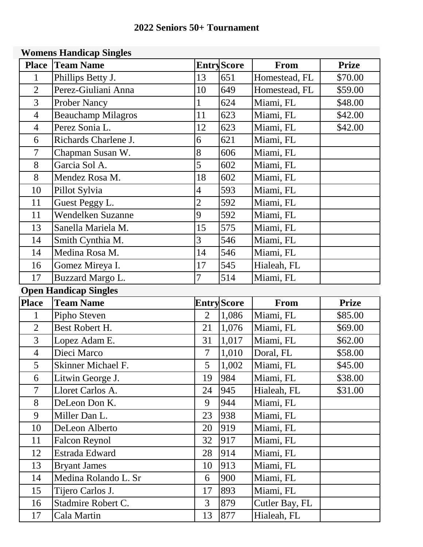## **2022 Seniors 50+ Tournament**

## **Womens Handicap Singles**

| <b>Place</b>   | <b>Team Name</b>             |                          | <b>EntryScore</b>  | <b>From</b>    | <b>Prize</b> |
|----------------|------------------------------|--------------------------|--------------------|----------------|--------------|
| 1              | Phillips Betty J.            | 13                       | 651                | Homestead, FL  | \$70.00      |
| $\overline{2}$ | Perez-Giuliani Anna          | 10                       | 649                | Homestead, FL  | \$59.00      |
| 3              | <b>Prober Nancy</b>          | $\mathbf{1}$             | 624                | Miami, FL      | \$48.00      |
| $\overline{4}$ | <b>Beauchamp Milagros</b>    | 11                       | 623                | Miami, FL      | \$42.00      |
| $\overline{4}$ | Perez Sonia L.               | 12                       | 623                | Miami, FL      | \$42.00      |
| 6              | Richards Charlene J.         | 6                        | 621                | Miami, FL      |              |
| 7              | Chapman Susan W.             | 8                        | 606                | Miami, FL      |              |
| 8              | Garcia Sol A.                | 5                        | 602                | Miami, FL      |              |
| 8              | Mendez Rosa M.               | 18                       | 602                | Miami, FL      |              |
| 10             | Pillot Sylvia                | $\overline{4}$           | 593                | Miami, FL      |              |
| 11             | Guest Peggy L.               | $\overline{2}$           | 592                | Miami, FL      |              |
| 11             | Wendelken Suzanne            | 9                        | 592                | Miami, FL      |              |
| 13             | Sanella Mariela M.           | 15                       | 575                | Miami, FL      |              |
| 14             | Smith Cynthia M.             | 3                        | 546                | Miami, FL      |              |
| 14             | Medina Rosa M.               | 14                       | 546                | Miami, FL      |              |
| 16             | Gomez Mireya I.              | 17                       | 545                | Hialeah, FL    |              |
| 17             | <b>Buzzard Margo L.</b>      | $\overline{7}$           | 514                | Miami, FL      |              |
|                | <b>Open Handicap Singles</b> |                          |                    |                |              |
|                |                              |                          |                    |                |              |
| <b>Place</b>   | <b>Team Name</b>             |                          | <b>Entry</b> Score | <b>From</b>    | <b>Prize</b> |
| 1              | Pipho Steven                 | $\overline{2}$           | 1,086              | Miami, FL      | \$85.00      |
| $\overline{2}$ | Best Robert H.               | 21                       | 1,076              | Miami, FL      | \$69.00      |
| 3              | Lopez Adam E.                | 31                       | 1,017              | Miami, FL      | \$62.00      |
| $\overline{4}$ | Dieci Marco                  | $\overline{\mathcal{L}}$ | 1,010              | Doral, FL      | \$58.00      |
| 5              | Skinner Michael F.           | 5                        | 1,002              | Miami, FL      | \$45.00      |
| 6              | Litwin George J.             | 19                       | 984                | Miami, FL      | \$38.00      |
| $\overline{7}$ | Lloret Carlos A.             | 24                       | 945                | Hialeah, FL    | \$31.00      |
| 8              | DeLeon Don K.                | 9                        | 944                | Miami, FL      |              |
| 9              | Miller Dan L.                | 23                       | 938                | Miami, FL      |              |
| 10             | DeLeon Alberto               | 20                       | 919                | Miami, FL      |              |
| 11             | <b>Falcon Reynol</b>         | 32                       | 917                | Miami, FL      |              |
| 12             | Estrada Edward               | 28                       | 914                | Miami, FL      |              |
| 13             | <b>Bryant James</b>          | 10                       | 913                | Miami, FL      |              |
| 14             | Medina Rolando L. Sr         | 6                        | 900                | Miami, FL      |              |
| 15             | Tijero Carlos J.             | 17                       | 893                | Miami, FL      |              |
| 16             | Stadmire Robert C.           | $\overline{3}$           | 879                | Cutler Bay, FL |              |